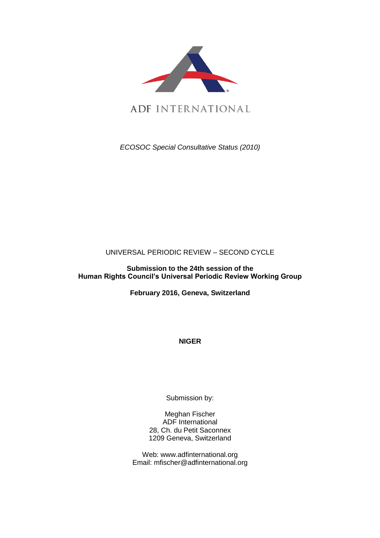

*ECOSOC Special Consultative Status (2010)*

# UNIVERSAL PERIODIC REVIEW – SECOND CYCLE

#### **Submission to the 24th session of the Human Rights Council's Universal Periodic Review Working Group**

**February 2016, Geneva, Switzerland**

**NIGER**

Submission by:

Meghan Fischer ADF International 28, Ch. du Petit Saconnex 1209 Geneva, Switzerland

Web: www.adfinternational.org Email: mfischer@adfinternational.org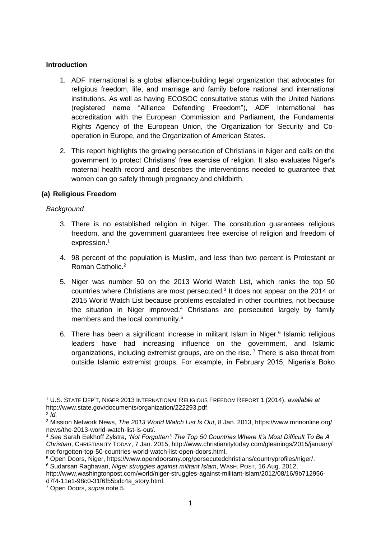#### **Introduction**

- 1. ADF International is a global alliance-building legal organization that advocates for religious freedom, life, and marriage and family before national and international institutions. As well as having ECOSOC consultative status with the United Nations (registered name "Alliance Defending Freedom"), ADF International has accreditation with the European Commission and Parliament, the Fundamental Rights Agency of the European Union, the Organization for Security and Cooperation in Europe, and the Organization of American States.
- 2. This report highlights the growing persecution of Christians in Niger and calls on the government to protect Christians' free exercise of religion. It also evaluates Niger's maternal health record and describes the interventions needed to guarantee that women can go safely through pregnancy and childbirth.

## **(a) Religious Freedom**

## *Background*

- 3. There is no established religion in Niger. The constitution guarantees religious freedom, and the government guarantees free exercise of religion and freedom of expression. 1
- 4. 98 percent of the population is Muslim, and less than two percent is Protestant or Roman Catholic.<sup>2</sup>
- 5. Niger was number 50 on the 2013 World Watch List, which ranks the top 50 countries where Christians are most persecuted. $3$  It does not appear on the 2014 or 2015 World Watch List because problems escalated in other countries, not because the situation in Niger improved.<sup>4</sup> Christians are persecuted largely by family members and the local community.<sup>5</sup>
- 6. There has been a significant increase in militant Islam in Niger.<sup>6</sup> Islamic religious leaders have had increasing influence on the government, and Islamic organizations, including extremist groups, are on the rise.<sup>7</sup> There is also threat from outside Islamic extremist groups. For example, in February 2015, Nigeria's Boko

<sup>1</sup> <sup>1</sup> U.S. STATE DEP'T, NIGER 2013 INTERNATIONAL RELIGIOUS FREEDOM REPORT 1 (2014), *available at* http://www.state.gov/documents/organization/222293.pdf.

<sup>2</sup> *Id.*

<sup>3</sup> Mission Network News, *The 2013 World Watch List Is Out*, 8 Jan. 2013, https://www.mnnonline.org/ news/the-2013-world-watch-list-is-out/.

<sup>4</sup> *See* Sarah Eekhoff Zylstra, *'Not Forgotten': The Top 50 Countries Where It's Most Difficult To Be A Christian*, CHRISTIANITY TODAY, 7 Jan. 2015, http://www.christianitytoday.com/gleanings/2015/january/ not-forgotten-top-50-countries-world-watch-list-open-doors.html.

<sup>5</sup> Open Doors, Niger, https://www.opendoorsmy.org/persecutedchristians/countryprofiles/niger/.

<sup>6</sup> Sudarsan Raghavan, *Niger struggles against militant Islam*, WASH. POST, 16 Aug. 2012,

http://www.washingtonpost.com/world/niger-struggles-against-militant-islam/2012/08/16/9b712956 d7f4-11e1-98c0-31f6f55bdc4a\_story.html.

<sup>7</sup> Open Doors, *supra* note 5.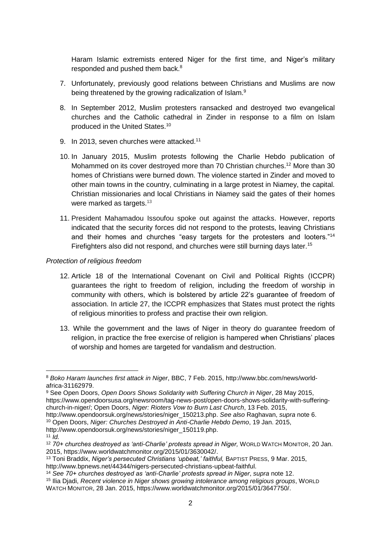Haram Islamic extremists entered Niger for the first time, and Niger's military responded and pushed them back.<sup>8</sup>

- 7. Unfortunately, previously good relations between Christians and Muslims are now being threatened by the growing radicalization of Islam.<sup>9</sup>
- 8. In September 2012, Muslim protesters ransacked and destroyed two evangelical churches and the Catholic cathedral in Zinder in response to a film on Islam produced in the United States.<sup>10</sup>
- 9. In 2013, seven churches were attacked.<sup>11</sup>
- 10. In January 2015, Muslim protests following the Charlie Hebdo publication of Mohammed on its cover destroyed more than 70 Christian churches.<sup>12</sup> More than 30 homes of Christians were burned down. The violence started in Zinder and moved to other main towns in the country, culminating in a large protest in Niamey, the capital. Christian missionaries and local Christians in Niamey said the gates of their homes were marked as targets.<sup>13</sup>
- 11. President Mahamadou Issoufou spoke out against the attacks. However, reports indicated that the security forces did not respond to the protests, leaving Christians and their homes and churches "easy targets for the protesters and looters."<sup>14</sup> Firefighters also did not respond, and churches were still burning days later.<sup>15</sup>

#### *Protection of religious freedom*

- 12. Article 18 of the International Covenant on Civil and Political Rights (ICCPR) guarantees the right to freedom of religion, including the freedom of worship in community with others, which is bolstered by article 22's guarantee of freedom of association. In article 27, the ICCPR emphasizes that States must protect the rights of religious minorities to profess and practise their own religion.
- 13. While the government and the laws of Niger in theory do guarantee freedom of religion, in practice the free exercise of religion is hampered when Christians' places of worship and homes are targeted for vandalism and destruction.

1

<sup>8</sup> *Boko Haram launches first attack in Niger*, BBC, 7 Feb. 2015, http://www.bbc.com/news/worldafrica-31162979.

<sup>9</sup> See Open Doors, *Open Doors Shows Solidarity with Suffering Church in Niger*, 28 May 2015, https://www.opendoorsusa.org/newsroom/tag-news-post/open-doors-shows-solidarity-with-sufferingchurch-in-niger/; Open Doors, *Niger: Rioters Vow to Burn Last Church*, 13 Feb. 2015,

http://www.opendoorsuk.org/news/stories/niger\_150213.php. *See also* Raghavan, *supra* note 6. <sup>10</sup> Open Doors, *Niger: Churches Destroyed in Anti-Charlie Hebdo Demo*, 19 Jan. 2015,

http://www.opendoorsuk.org/news/stories/niger\_150119.php.

 $11$   $\dot{I}$ *d.* 

<sup>12</sup> *70+ churches destroyed as 'anti-Charlie' protests spread in Niger,* WORLD WATCH MONITOR, 20 Jan. 2015, https://www.worldwatchmonitor.org/2015/01/3630042/.

<sup>13</sup> Toni Braddix, *Niger's persecuted Christians 'upbeat,' faithful,* BAPTIST PRESS, 9 Mar. 2015, http://www.bpnews.net/44344/nigers-persecuted-christians-upbeat-faithful.

<sup>14</sup> *See 70+ churches destroyed as 'anti-Charlie' protests spread in Niger*, *supra* note 12.

<sup>15</sup> Ilia Djadi, *Recent violence in Niger shows growing intolerance among religious groups*, WORLD WATCH MONITOR, 28 Jan. 2015, https://www.worldwatchmonitor.org/2015/01/3647750/.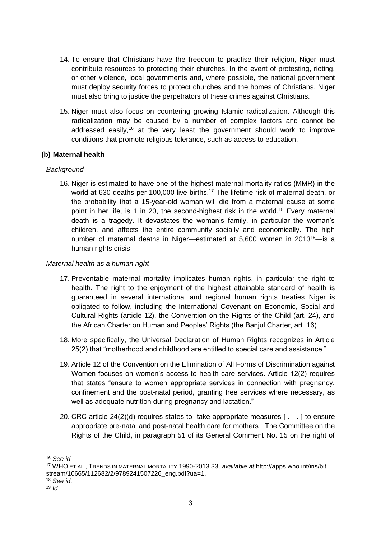- 14. To ensure that Christians have the freedom to practise their religion, Niger must contribute resources to protecting their churches. In the event of protesting, rioting, or other violence, local governments and, where possible, the national government must deploy security forces to protect churches and the homes of Christians. Niger must also bring to justice the perpetrators of these crimes against Christians.
- 15. Niger must also focus on countering growing Islamic radicalization. Although this radicalization may be caused by a number of complex factors and cannot be addressed easily,<sup>16</sup> at the very least the government should work to improve conditions that promote religious tolerance, such as access to education.

## **(b) Maternal health**

## *Background*

16. Niger is estimated to have one of the highest maternal mortality ratios (MMR) in the world at 630 deaths per 100,000 live births.<sup>17</sup> The lifetime risk of maternal death, or the probability that a 15-year-old woman will die from a maternal cause at some point in her life, is 1 in 20, the second-highest risk in the world.<sup>18</sup> Every maternal death is a tragedy. It devastates the woman's family, in particular the woman's children, and affects the entire community socially and economically. The high number of maternal deaths in Niger—estimated at 5,600 women in 2013<sup>19</sup>—is a human rights crisis.

## *Maternal health as a human right*

- 17. Preventable maternal mortality implicates human rights, in particular the right to health. The right to the enjoyment of the highest attainable standard of health is guaranteed in several international and regional human rights treaties Niger is obligated to follow, including the International Covenant on Economic, Social and Cultural Rights (article 12), the Convention on the Rights of the Child (art. 24), and the African Charter on Human and Peoples' Rights (the Banjul Charter, art. 16).
- 18. More specifically, the Universal Declaration of Human Rights recognizes in Article 25(2) that "motherhood and childhood are entitled to special care and assistance."
- 19. Article 12 of the Convention on the Elimination of All Forms of Discrimination against Women focuses on women's access to health care services. Article 12(2) requires that states "ensure to women appropriate services in connection with pregnancy, confinement and the post-natal period, granting free services where necessary, as well as adequate nutrition during pregnancy and lactation."
- 20. CRC article 24(2)(d) requires states to "take appropriate measures [ . . . ] to ensure appropriate pre-natal and post-natal health care for mothers." The Committee on the Rights of the Child, in paragraph 51 of its General Comment No. 15 on the right of

<u>.</u>

<sup>16</sup> *See id.*

<sup>17</sup> WHO ET AL., TRENDS IN MATERNAL MORTALITY 1990-2013 33, *available at* http://apps.who.int/iris/bit stream/10665/112682/2/9789241507226\_eng.pdf?ua=1.

<sup>18</sup> *See id.*

<sup>19</sup> *Id.*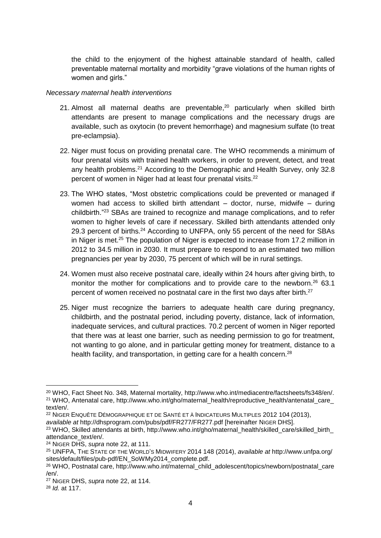the child to the enjoyment of the highest attainable standard of health, called preventable maternal mortality and morbidity "grave violations of the human rights of women and girls."

#### *Necessary maternal health interventions*

- 21. Almost all maternal deaths are preventable, $20$  particularly when skilled birth attendants are present to manage complications and the necessary drugs are available, such as oxytocin (to prevent hemorrhage) and magnesium sulfate (to treat pre-eclampsia).
- 22. Niger must focus on providing prenatal care. The WHO recommends a minimum of four prenatal visits with trained health workers, in order to prevent, detect, and treat any health problems.<sup>21</sup> According to the Demographic and Health Survey, only 32.8 percent of women in Niger had at least four prenatal visits.<sup>22</sup>
- 23. The WHO states, "Most obstetric complications could be prevented or managed if women had access to skilled birth attendant – doctor, nurse, midwife – during childbirth."<sup>23</sup> SBAs are trained to recognize and manage complications, and to refer women to higher levels of care if necessary. Skilled birth attendants attended only 29.3 percent of births.<sup>24</sup> According to UNFPA, only 55 percent of the need for SBAs in Niger is met.<sup>25</sup> The population of Niger is expected to increase from 17.2 million in 2012 to 34.5 million in 2030. It must prepare to respond to an estimated two million pregnancies per year by 2030, 75 percent of which will be in rural settings.
- 24. Women must also receive postnatal care, ideally within 24 hours after giving birth, to monitor the mother for complications and to provide care to the newborn.<sup>26</sup> 63.1 percent of women received no postnatal care in the first two days after birth.<sup>27</sup>
- 25. Niger must recognize the barriers to adequate health care during pregnancy, childbirth, and the postnatal period, including poverty, distance, lack of information, inadequate services, and cultural practices. 70.2 percent of women in Niger reported that there was at least one barrier, such as needing permission to go for treatment, not wanting to go alone, and in particular getting money for treatment, distance to a health facility, and transportation, in getting care for a health concern.<sup>28</sup>

<u>.</u>

<sup>&</sup>lt;sup>20</sup> WHO, Fact Sheet No. 348, Maternal mortality, http://www.who.int/mediacentre/factsheets/fs348/en/. <sup>21</sup> WHO, Antenatal care, http://www.who.int/gho/maternal\_health/reproductive\_health/antenatal\_care\_ text/en/.

<sup>22</sup> NIGER ENQUÊTE DÉMOGRAPHIQUE ET DE SANTÉ ET À INDICATEURS MULTIPLES 2012 104 (2013),

*available at* http://dhsprogram.com/pubs/pdf/FR277/FR277.pdf [hereinafter NIGER DHS].

<sup>&</sup>lt;sup>23</sup> WHO, Skilled attendants at birth, http://www.who.int/gho/maternal\_health/skilled\_care/skilled\_birth attendance\_text/en/.

<sup>24</sup> NIGER DHS, *supra* note 22, at 111.

<sup>25</sup> UNFPA, THE STATE OF THE WORLD'S MIDWIFERY 2014 148 (2014), *available at* http://www.unfpa.org/ sites/default/files/pub-pdf/EN\_SoWMy2014\_complete.pdf.

<sup>&</sup>lt;sup>26</sup> WHO, Postnatal care, http://www.who.int/maternal\_child\_adolescent/topics/newborn/postnatal\_care /en/.

<sup>27</sup> NIGER DHS, *supra* note 22, at 114.

<sup>28</sup> *Id.* at 117.